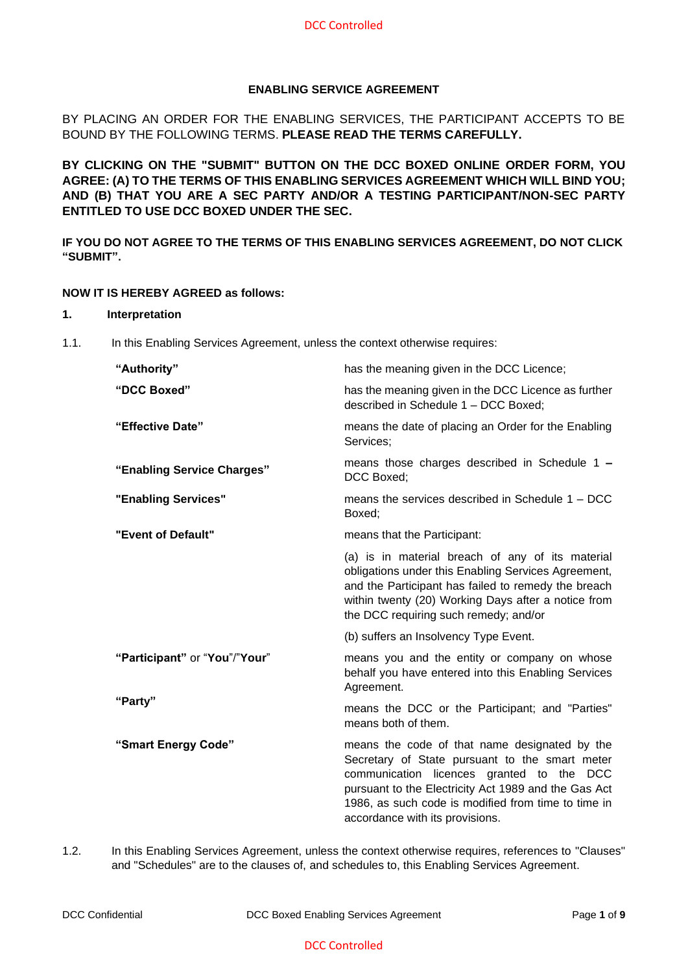# **ENABLING SERVICE AGREEMENT**

BY PLACING AN ORDER FOR THE ENABLING SERVICES, THE PARTICIPANT ACCEPTS TO BE BOUND BY THE FOLLOWING TERMS. **PLEASE READ THE TERMS CAREFULLY.** 

**BY CLICKING ON THE "SUBMIT" BUTTON ON THE DCC BOXED ONLINE ORDER FORM, YOU AGREE: (A) TO THE TERMS OF THIS ENABLING SERVICES AGREEMENT WHICH WILL BIND YOU; AND (B) THAT YOU ARE A SEC PARTY AND/OR A TESTING PARTICIPANT/NON-SEC PARTY ENTITLED TO USE DCC BOXED UNDER THE SEC.**

**IF YOU DO NOT AGREE TO THE TERMS OF THIS ENABLING SERVICES AGREEMENT, DO NOT CLICK "SUBMIT".**

### **NOW IT IS HEREBY AGREED as follows:**

#### **1. Interpretation**

1.1. In this Enabling Services Agreement, unless the context otherwise requires:

| "Authority"                   | has the meaning given in the DCC Licence;                                                                                                                                                                                                                                                      |
|-------------------------------|------------------------------------------------------------------------------------------------------------------------------------------------------------------------------------------------------------------------------------------------------------------------------------------------|
| "DCC Boxed"                   | has the meaning given in the DCC Licence as further<br>described in Schedule 1 - DCC Boxed;                                                                                                                                                                                                    |
| "Effective Date"              | means the date of placing an Order for the Enabling<br>Services;                                                                                                                                                                                                                               |
| "Enabling Service Charges"    | means those charges described in Schedule 1 -<br>DCC Boxed;                                                                                                                                                                                                                                    |
| "Enabling Services"           | means the services described in Schedule $1 - DCC$<br>Boxed;                                                                                                                                                                                                                                   |
| "Event of Default"            | means that the Participant:                                                                                                                                                                                                                                                                    |
|                               | (a) is in material breach of any of its material<br>obligations under this Enabling Services Agreement,<br>and the Participant has failed to remedy the breach<br>within twenty (20) Working Days after a notice from<br>the DCC requiring such remedy; and/or                                 |
|                               | (b) suffers an Insolvency Type Event.                                                                                                                                                                                                                                                          |
| "Participant" or "You"/"Your" | means you and the entity or company on whose<br>behalf you have entered into this Enabling Services<br>Agreement.                                                                                                                                                                              |
| "Party"                       | means the DCC or the Participant; and "Parties"<br>means both of them.                                                                                                                                                                                                                         |
| "Smart Energy Code"           | means the code of that name designated by the<br>Secretary of State pursuant to the smart meter<br>communication licences granted to the DCC<br>pursuant to the Electricity Act 1989 and the Gas Act<br>1986, as such code is modified from time to time in<br>accordance with its provisions. |

1.2. In this Enabling Services Agreement, unless the context otherwise requires, references to "Clauses" and "Schedules" are to the clauses of, and schedules to, this Enabling Services Agreement.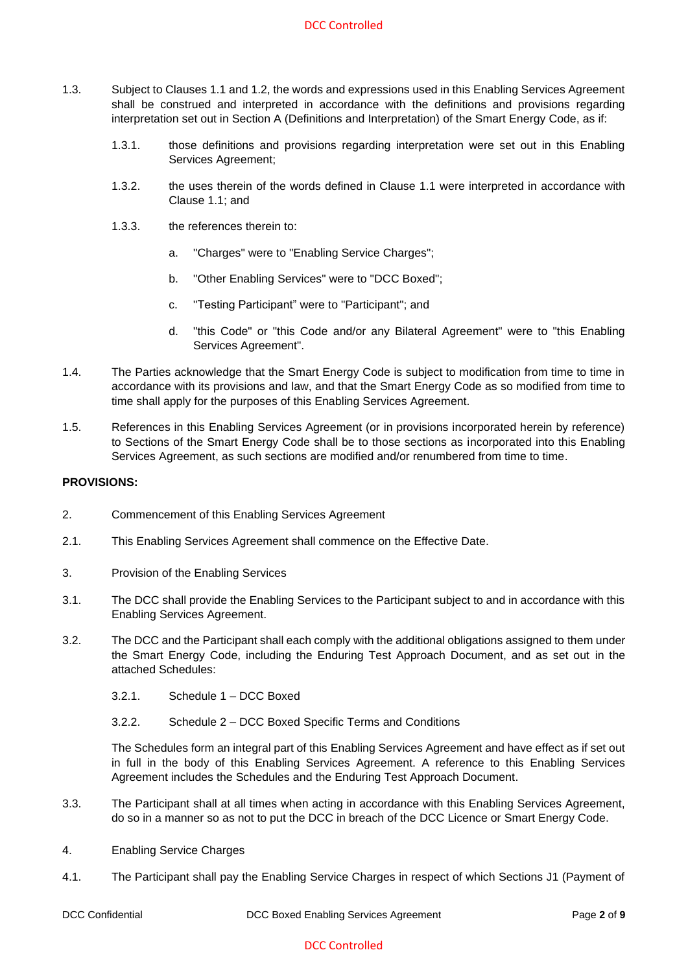- 1.3. Subject to Clauses 1.1 and 1.2, the words and expressions used in this Enabling Services Agreement shall be construed and interpreted in accordance with the definitions and provisions regarding interpretation set out in Section A (Definitions and Interpretation) of the Smart Energy Code, as if:
	- 1.3.1. those definitions and provisions regarding interpretation were set out in this Enabling Services Agreement;
	- 1.3.2. the uses therein of the words defined in Clause 1.1 were interpreted in accordance with Clause 1.1; and
	- 1.3.3. the references therein to:
		- a. "Charges" were to "Enabling Service Charges";
		- b. "Other Enabling Services" were to "DCC Boxed";
		- c. "Testing Participant" were to "Participant"; and
		- d. "this Code" or "this Code and/or any Bilateral Agreement" were to "this Enabling Services Agreement".
- 1.4. The Parties acknowledge that the Smart Energy Code is subject to modification from time to time in accordance with its provisions and law, and that the Smart Energy Code as so modified from time to time shall apply for the purposes of this Enabling Services Agreement.
- 1.5. References in this Enabling Services Agreement (or in provisions incorporated herein by reference) to Sections of the Smart Energy Code shall be to those sections as incorporated into this Enabling Services Agreement, as such sections are modified and/or renumbered from time to time.

### **PROVISIONS:**

- 2. Commencement of this Enabling Services Agreement
- 2.1. This Enabling Services Agreement shall commence on the Effective Date.
- 3. Provision of the Enabling Services
- 3.1. The DCC shall provide the Enabling Services to the Participant subject to and in accordance with this Enabling Services Agreement.
- 3.2. The DCC and the Participant shall each comply with the additional obligations assigned to them under the Smart Energy Code, including the Enduring Test Approach Document, and as set out in the attached Schedules:
	- 3.2.1. Schedule 1 DCC Boxed
	- 3.2.2. Schedule 2 DCC Boxed Specific Terms and Conditions

The Schedules form an integral part of this Enabling Services Agreement and have effect as if set out in full in the body of this Enabling Services Agreement. A reference to this Enabling Services Agreement includes the Schedules and the Enduring Test Approach Document.

- 3.3. The Participant shall at all times when acting in accordance with this Enabling Services Agreement, do so in a manner so as not to put the DCC in breach of the DCC Licence or Smart Energy Code.
- 4. Enabling Service Charges
- 4.1. The Participant shall pay the Enabling Service Charges in respect of which Sections J1 (Payment of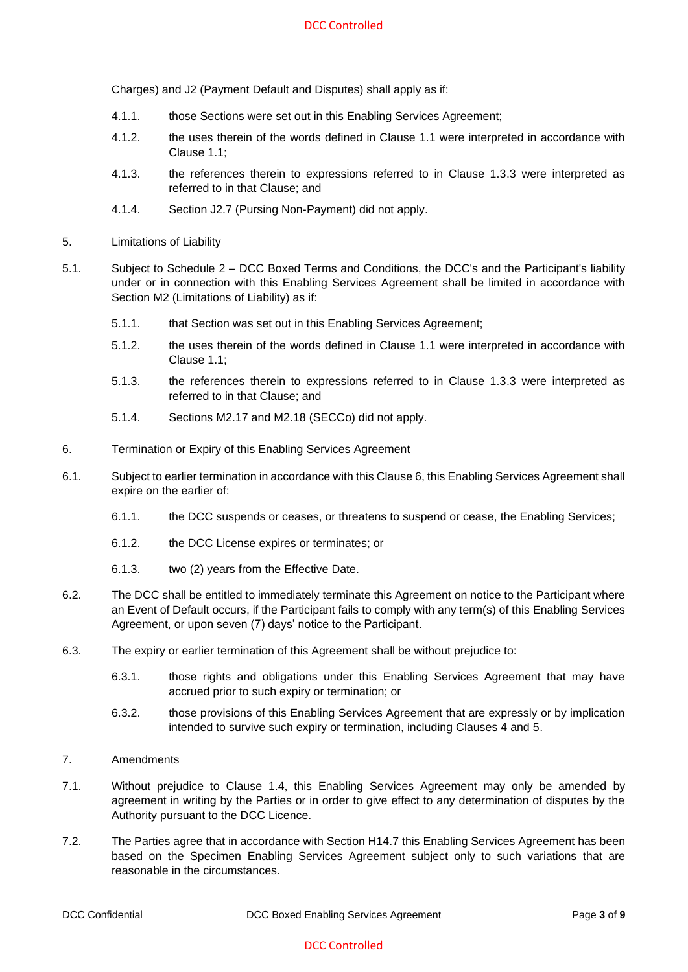Charges) and J2 (Payment Default and Disputes) shall apply as if:

- 4.1.1. those Sections were set out in this Enabling Services Agreement;
- 4.1.2. the uses therein of the words defined in Clause 1.1 were interpreted in accordance with Clause 1.1;
- 4.1.3. the references therein to expressions referred to in Clause 1.3.3 were interpreted as referred to in that Clause; and
- 4.1.4. Section J2.7 (Pursing Non-Payment) did not apply.
- 5. Limitations of Liability
- 5.1. Subject to Schedule 2 DCC Boxed Terms and Conditions, the DCC's and the Participant's liability under or in connection with this Enabling Services Agreement shall be limited in accordance with Section M2 (Limitations of Liability) as if:
	- 5.1.1. that Section was set out in this Enabling Services Agreement;
	- 5.1.2. the uses therein of the words defined in Clause 1.1 were interpreted in accordance with Clause 1.1;
	- 5.1.3. the references therein to expressions referred to in Clause 1.3.3 were interpreted as referred to in that Clause; and
	- 5.1.4. Sections M2.17 and M2.18 (SECCo) did not apply.
- 6. Termination or Expiry of this Enabling Services Agreement
- 6.1. Subject to earlier termination in accordance with this Clause 6, this Enabling Services Agreement shall expire on the earlier of:
	- 6.1.1. the DCC suspends or ceases, or threatens to suspend or cease, the Enabling Services;
	- 6.1.2. the DCC License expires or terminates; or
	- 6.1.3. two (2) years from the Effective Date.
- 6.2. The DCC shall be entitled to immediately terminate this Agreement on notice to the Participant where an Event of Default occurs, if the Participant fails to comply with any term(s) of this Enabling Services Agreement, or upon seven (7) days' notice to the Participant.
- 6.3. The expiry or earlier termination of this Agreement shall be without prejudice to:
	- 6.3.1. those rights and obligations under this Enabling Services Agreement that may have accrued prior to such expiry or termination; or
	- 6.3.2. those provisions of this Enabling Services Agreement that are expressly or by implication intended to survive such expiry or termination, including Clauses 4 and 5.
- 7. Amendments
- 7.1. Without prejudice to Clause 1.4, this Enabling Services Agreement may only be amended by agreement in writing by the Parties or in order to give effect to any determination of disputes by the Authority pursuant to the DCC Licence.
- 7.2. The Parties agree that in accordance with Section H14.7 this Enabling Services Agreement has been based on the Specimen Enabling Services Agreement subject only to such variations that are reasonable in the circumstances.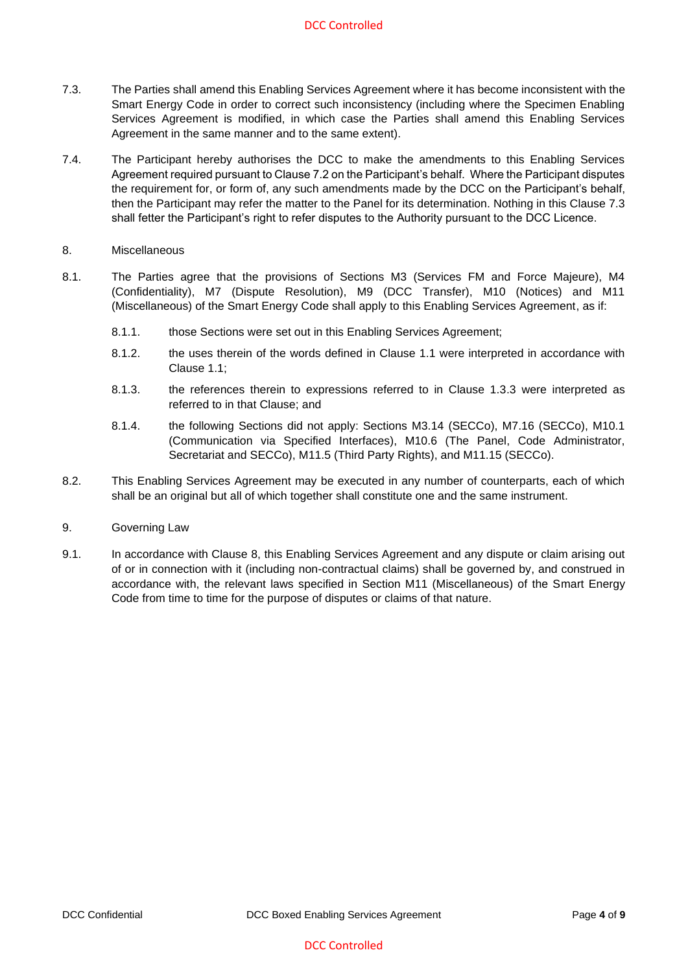- 7.3. The Parties shall amend this Enabling Services Agreement where it has become inconsistent with the Smart Energy Code in order to correct such inconsistency (including where the Specimen Enabling Services Agreement is modified, in which case the Parties shall amend this Enabling Services Agreement in the same manner and to the same extent).
- 7.4. The Participant hereby authorises the DCC to make the amendments to this Enabling Services Agreement required pursuant to Clause 7.2 on the Participant's behalf. Where the Participant disputes the requirement for, or form of, any such amendments made by the DCC on the Participant's behalf, then the Participant may refer the matter to the Panel for its determination. Nothing in this Clause 7.3 shall fetter the Participant's right to refer disputes to the Authority pursuant to the DCC Licence.
- 8. Miscellaneous
- 8.1. The Parties agree that the provisions of Sections M3 (Services FM and Force Majeure), M4 (Confidentiality), M7 (Dispute Resolution), M9 (DCC Transfer), M10 (Notices) and M11 (Miscellaneous) of the Smart Energy Code shall apply to this Enabling Services Agreement, as if:
	- 8.1.1. those Sections were set out in this Enabling Services Agreement;
	- 8.1.2. the uses therein of the words defined in Clause 1.1 were interpreted in accordance with Clause 1.1;
	- 8.1.3. the references therein to expressions referred to in Clause 1.3.3 were interpreted as referred to in that Clause; and
	- 8.1.4. the following Sections did not apply: Sections M3.14 (SECCo), M7.16 (SECCo), M10.1 (Communication via Specified Interfaces), M10.6 (The Panel, Code Administrator, Secretariat and SECCo), M11.5 (Third Party Rights), and M11.15 (SECCo).
- 8.2. This Enabling Services Agreement may be executed in any number of counterparts, each of which shall be an original but all of which together shall constitute one and the same instrument.
- 9. Governing Law
- 9.1. In accordance with Clause 8, this Enabling Services Agreement and any dispute or claim arising out of or in connection with it (including non-contractual claims) shall be governed by, and construed in accordance with, the relevant laws specified in Section M11 (Miscellaneous) of the Smart Energy Code from time to time for the purpose of disputes or claims of that nature.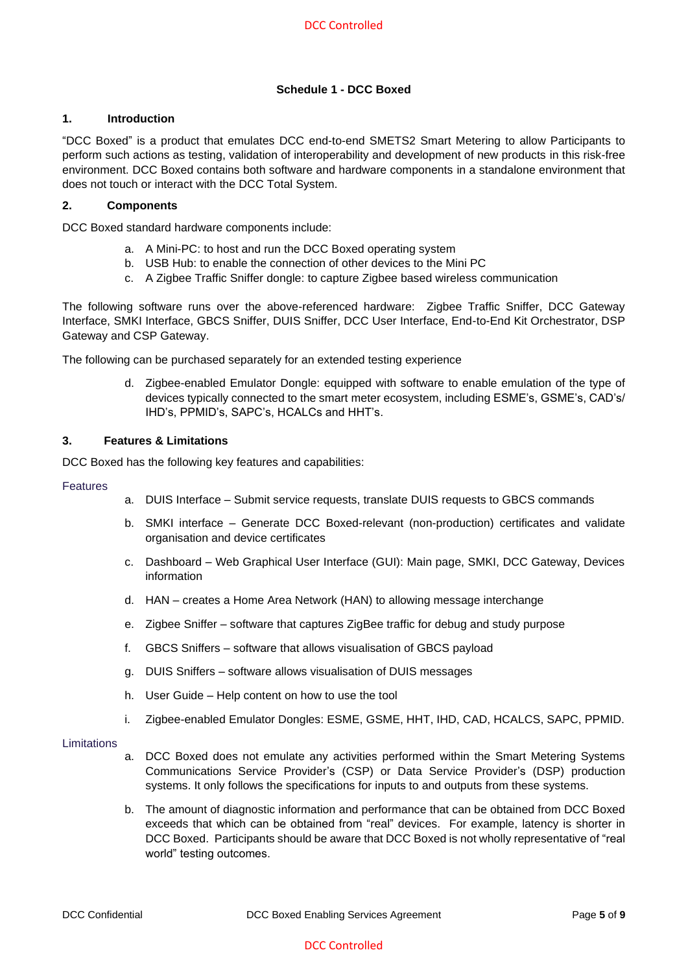# **Schedule 1 - DCC Boxed**

### **1. Introduction**

"DCC Boxed" is a product that emulates DCC end-to-end SMETS2 Smart Metering to allow Participants to perform such actions as testing, validation of interoperability and development of new products in this risk-free environment. DCC Boxed contains both software and hardware components in a standalone environment that does not touch or interact with the DCC Total System.

### **2. Components**

DCC Boxed standard hardware components include:

- a. A Mini-PC: to host and run the DCC Boxed operating system
- b. USB Hub: to enable the connection of other devices to the Mini PC
- c. A Zigbee Traffic Sniffer dongle: to capture Zigbee based wireless communication

The following software runs over the above-referenced hardware: Zigbee Traffic Sniffer, DCC Gateway Interface, SMKI Interface, GBCS Sniffer, DUIS Sniffer, DCC User Interface, End-to-End Kit Orchestrator, DSP Gateway and CSP Gateway.

The following can be purchased separately for an extended testing experience

d. Zigbee-enabled Emulator Dongle: equipped with software to enable emulation of the type of devices typically connected to the smart meter ecosystem, including ESME's, GSME's, CAD's/ IHD's, PPMID's, SAPC's, HCALCs and HHT's.

### **3. Features & Limitations**

DCC Boxed has the following key features and capabilities:

#### Features

- a. DUIS Interface Submit service requests, translate DUIS requests to GBCS commands
- b. SMKI interface Generate DCC Boxed-relevant (non-production) certificates and validate organisation and device certificates
- c. Dashboard Web Graphical User Interface (GUI): Main page, SMKI, DCC Gateway, Devices information
- d. HAN creates a Home Area Network (HAN) to allowing message interchange
- e. Zigbee Sniffer software that captures ZigBee traffic for debug and study purpose
- f. GBCS Sniffers software that allows visualisation of GBCS payload
- g. DUIS Sniffers software allows visualisation of DUIS messages
- h. User Guide Help content on how to use the tool
- i. Zigbee-enabled Emulator Dongles: ESME, GSME, HHT, IHD, CAD, HCALCS, SAPC, PPMID.

#### Limitations

- a. DCC Boxed does not emulate any activities performed within the Smart Metering Systems Communications Service Provider's (CSP) or Data Service Provider's (DSP) production systems. It only follows the specifications for inputs to and outputs from these systems.
- b. The amount of diagnostic information and performance that can be obtained from DCC Boxed exceeds that which can be obtained from "real" devices. For example, latency is shorter in DCC Boxed. Participants should be aware that DCC Boxed is not wholly representative of "real world" testing outcomes.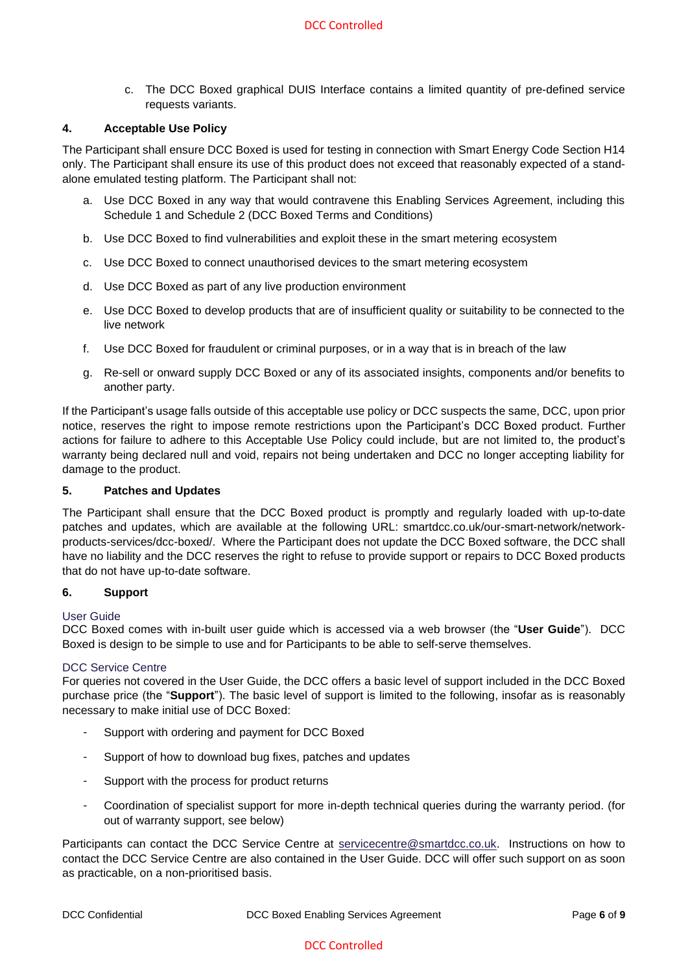c. The DCC Boxed graphical DUIS Interface contains a limited quantity of pre-defined service requests variants.

### **4. Acceptable Use Policy**

The Participant shall ensure DCC Boxed is used for testing in connection with Smart Energy Code Section H14 only. The Participant shall ensure its use of this product does not exceed that reasonably expected of a standalone emulated testing platform. The Participant shall not:

- a. Use DCC Boxed in any way that would contravene this Enabling Services Agreement, including this Schedule 1 and Schedule 2 (DCC Boxed Terms and Conditions)
- b. Use DCC Boxed to find vulnerabilities and exploit these in the smart metering ecosystem
- c. Use DCC Boxed to connect unauthorised devices to the smart metering ecosystem
- d. Use DCC Boxed as part of any live production environment
- e. Use DCC Boxed to develop products that are of insufficient quality or suitability to be connected to the live network
- f. Use DCC Boxed for fraudulent or criminal purposes, or in a way that is in breach of the law
- g. Re-sell or onward supply DCC Boxed or any of its associated insights, components and/or benefits to another party.

If the Participant's usage falls outside of this acceptable use policy or DCC suspects the same, DCC, upon prior notice, reserves the right to impose remote restrictions upon the Participant's DCC Boxed product. Further actions for failure to adhere to this Acceptable Use Policy could include, but are not limited to, the product's warranty being declared null and void, repairs not being undertaken and DCC no longer accepting liability for damage to the product.

#### **5. Patches and Updates**

The Participant shall ensure that the DCC Boxed product is promptly and regularly loaded with up-to-date patches and updates, which are available at the following URL: smartdcc.co.uk/our-smart-network/networkproducts-services/dcc-boxed/. Where the Participant does not update the DCC Boxed software, the DCC shall have no liability and the DCC reserves the right to refuse to provide support or repairs to DCC Boxed products that do not have up-to-date software.

#### **6. Support**

#### User Guide

DCC Boxed comes with in-built user guide which is accessed via a web browser (the "**User Guide**"). DCC Boxed is design to be simple to use and for Participants to be able to self-serve themselves.

#### DCC Service Centre

For queries not covered in the User Guide, the DCC offers a basic level of support included in the DCC Boxed purchase price (the "**Support**"). The basic level of support is limited to the following, insofar as is reasonably necessary to make initial use of DCC Boxed:

- Support with ordering and payment for DCC Boxed
- Support of how to download bug fixes, patches and updates
- Support with the process for product returns
- Coordination of specialist support for more in-depth technical queries during the warranty period. (for out of warranty support, see below)

Participants can contact the DCC Service Centre at **servicecentre@smartdcc.co.uk.** Instructions on how to contact the DCC Service Centre are also contained in the User Guide. DCC will offer such support on as soon as practicable, on a non-prioritised basis.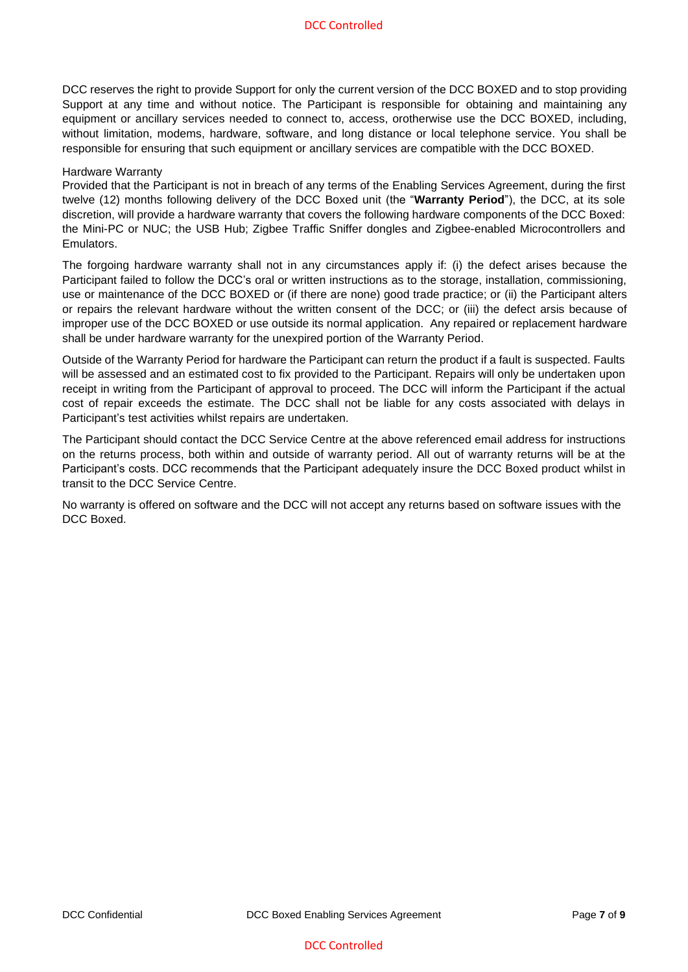DCC reserves the right to provide Support for only the current version of the DCC BOXED and to stop providing Support at any time and without notice. The Participant is responsible for obtaining and maintaining any equipment or ancillary services needed to connect to, access, orotherwise use the DCC BOXED, including, without limitation, modems, hardware, software, and long distance or local telephone service. You shall be responsible for ensuring that such equipment or ancillary services are compatible with the DCC BOXED.

#### Hardware Warranty

Provided that the Participant is not in breach of any terms of the Enabling Services Agreement, during the first twelve (12) months following delivery of the DCC Boxed unit (the "**Warranty Period**"), the DCC, at its sole discretion, will provide a hardware warranty that covers the following hardware components of the DCC Boxed: the Mini-PC or NUC; the USB Hub; Zigbee Traffic Sniffer dongles and Zigbee-enabled Microcontrollers and Emulators.

The forgoing hardware warranty shall not in any circumstances apply if: (i) the defect arises because the Participant failed to follow the DCC's oral or written instructions as to the storage, installation, commissioning, use or maintenance of the DCC BOXED or (if there are none) good trade practice; or (ii) the Participant alters or repairs the relevant hardware without the written consent of the DCC; or (iii) the defect arsis because of improper use of the DCC BOXED or use outside its normal application. Any repaired or replacement hardware shall be under hardware warranty for the unexpired portion of the Warranty Period.

Outside of the Warranty Period for hardware the Participant can return the product if a fault is suspected. Faults will be assessed and an estimated cost to fix provided to the Participant. Repairs will only be undertaken upon receipt in writing from the Participant of approval to proceed. The DCC will inform the Participant if the actual cost of repair exceeds the estimate. The DCC shall not be liable for any costs associated with delays in Participant's test activities whilst repairs are undertaken.

The Participant should contact the DCC Service Centre at the above referenced email address for instructions on the returns process, both within and outside of warranty period. All out of warranty returns will be at the Participant's costs. DCC recommends that the Participant adequately insure the DCC Boxed product whilst in transit to the DCC Service Centre.

No warranty is offered on software and the DCC will not accept any returns based on software issues with the DCC Boxed.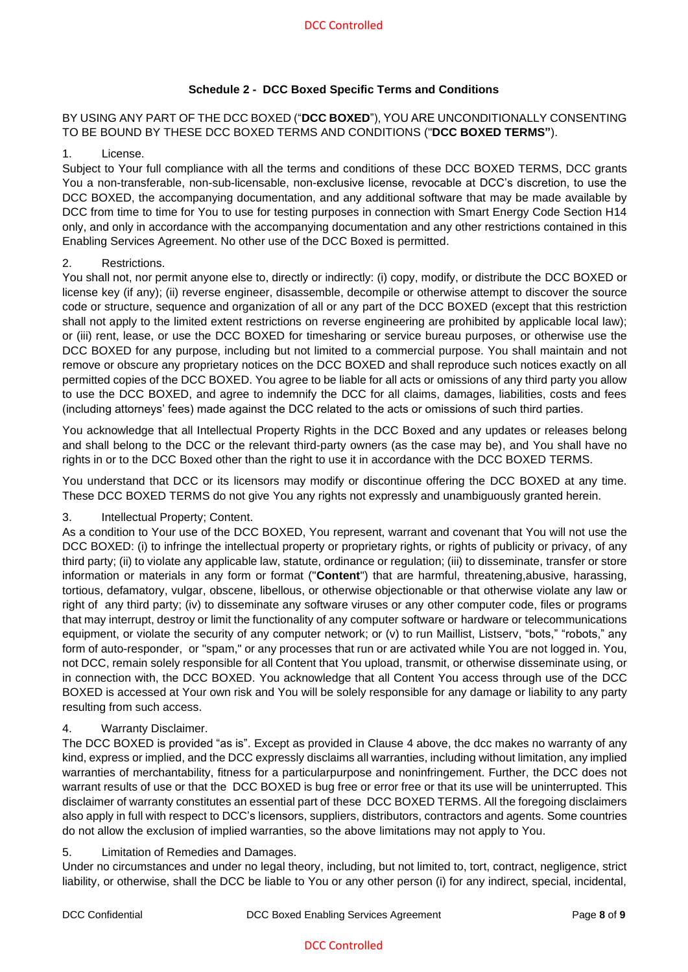# **Schedule 2 - DCC Boxed Specific Terms and Conditions**

BY USING ANY PART OF THE DCC BOXED ("**DCC BOXED**"), YOU ARE UNCONDITIONALLY CONSENTING TO BE BOUND BY THESE DCC BOXED TERMS AND CONDITIONS ("**DCC BOXED TERMS"**).

### 1. License.

Subject to Your full compliance with all the terms and conditions of these DCC BOXED TERMS, DCC grants You a non-transferable, non-sub-licensable, non-exclusive license, revocable at DCC's discretion, to use the DCC BOXED, the accompanying documentation, and any additional software that may be made available by DCC from time to time for You to use for testing purposes in connection with Smart Energy Code Section H14 only, and only in accordance with the accompanying documentation and any other restrictions contained in this Enabling Services Agreement. No other use of the DCC Boxed is permitted.

### 2. Restrictions.

You shall not, nor permit anyone else to, directly or indirectly: (i) copy, modify, or distribute the DCC BOXED or license key (if any); (ii) reverse engineer, disassemble, decompile or otherwise attempt to discover the source code or structure, sequence and organization of all or any part of the DCC BOXED (except that this restriction shall not apply to the limited extent restrictions on reverse engineering are prohibited by applicable local law); or (iii) rent, lease, or use the DCC BOXED for timesharing or service bureau purposes, or otherwise use the DCC BOXED for any purpose, including but not limited to a commercial purpose. You shall maintain and not remove or obscure any proprietary notices on the DCC BOXED and shall reproduce such notices exactly on all permitted copies of the DCC BOXED. You agree to be liable for all acts or omissions of any third party you allow to use the DCC BOXED, and agree to indemnify the DCC for all claims, damages, liabilities, costs and fees (including attorneys' fees) made against the DCC related to the acts or omissions of such third parties.

You acknowledge that all Intellectual Property Rights in the DCC Boxed and any updates or releases belong and shall belong to the DCC or the relevant third-party owners (as the case may be), and You shall have no rights in or to the DCC Boxed other than the right to use it in accordance with the DCC BOXED TERMS.

You understand that DCC or its licensors may modify or discontinue offering the DCC BOXED at any time. These DCC BOXED TERMS do not give You any rights not expressly and unambiguously granted herein.

# 3. Intellectual Property; Content.

As a condition to Your use of the DCC BOXED, You represent, warrant and covenant that You will not use the DCC BOXED: (i) to infringe the intellectual property or proprietary rights, or rights of publicity or privacy, of any third party; (ii) to violate any applicable law, statute, ordinance or regulation; (iii) to disseminate, transfer or store information or materials in any form or format ("**Content**") that are harmful, threatening,abusive, harassing, tortious, defamatory, vulgar, obscene, libellous, or otherwise objectionable or that otherwise violate any law or right of any third party; (iv) to disseminate any software viruses or any other computer code, files or programs that may interrupt, destroy or limit the functionality of any computer software or hardware or telecommunications equipment, or violate the security of any computer network; or (v) to run Maillist, Listserv, "bots," "robots," any form of auto-responder, or "spam," or any processes that run or are activated while You are not logged in. You, not DCC, remain solely responsible for all Content that You upload, transmit, or otherwise disseminate using, or in connection with, the DCC BOXED. You acknowledge that all Content You access through use of the DCC BOXED is accessed at Your own risk and You will be solely responsible for any damage or liability to any party resulting from such access.

# 4. Warranty Disclaimer.

The DCC BOXED is provided "as is". Except as provided in Clause 4 above, the dcc makes no warranty of any kind, express or implied, and the DCC expressly disclaims all warranties, including without limitation, any implied warranties of merchantability, fitness for a particularpurpose and noninfringement. Further, the DCC does not warrant results of use or that the DCC BOXED is bug free or error free or that its use will be uninterrupted. This disclaimer of warranty constitutes an essential part of these DCC BOXED TERMS. All the foregoing disclaimers also apply in full with respect to DCC's licensors, suppliers, distributors, contractors and agents. Some countries do not allow the exclusion of implied warranties, so the above limitations may not apply to You.

#### 5. Limitation of Remedies and Damages.

Under no circumstances and under no legal theory, including, but not limited to, tort, contract, negligence, strict liability, or otherwise, shall the DCC be liable to You or any other person (i) for any indirect, special, incidental,